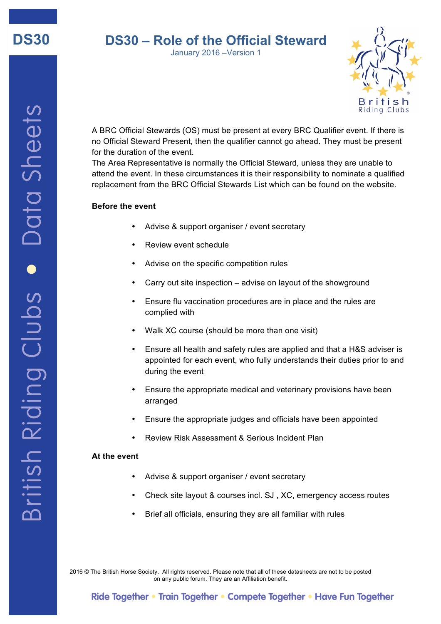

# **DS30 – Role of the Official Steward**

January 2016 –Version 1



A BRC Official Stewards (OS) must be present at every BRC Qualifier event. If there is no Official Steward Present, then the qualifier cannot go ahead. They must be present for the duration of the event.

The Area Representative is normally the Official Steward, unless they are unable to attend the event. In these circumstances it is their responsibility to nominate a qualified replacement from the BRC Official Stewards List which can be found on the website.

## **Before the event**

- Advise & support organiser / event secretary
- Review event schedule
- Advise on the specific competition rules
- Carry out site inspection advise on layout of the showground
- Ensure flu vaccination procedures are in place and the rules are complied with
- Walk XC course (should be more than one visit)
- Ensure all health and safety rules are applied and that a H&S adviser is appointed for each event, who fully understands their duties prior to and during the event
- Ensure the appropriate medical and veterinary provisions have been arranged
- Ensure the appropriate judges and officials have been appointed
- Review Risk Assessment & Serious Incident Plan

#### **At the event**

- Advise & support organiser / event secretary
- Check site layout & courses incl. SJ , XC, emergency access routes
- Brief all officials, ensuring they are all familiar with rules

2016 © The British Horse Society. All rights reserved. Please note that all of these datasheets are not to be posted on any public forum. They are an Affiliation benefit.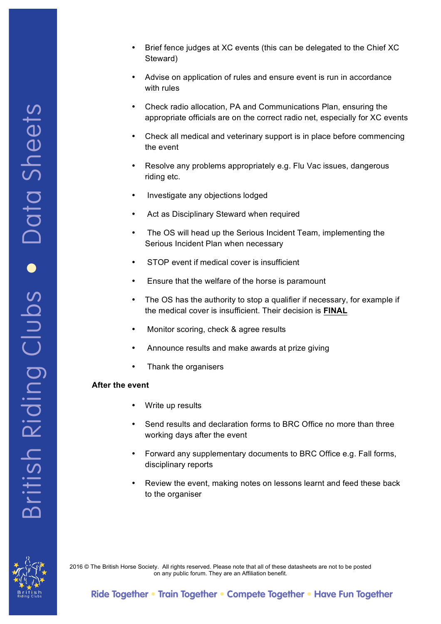- Brief fence judges at XC events (this can be delegated to the Chief XC Steward)
- Advise on application of rules and ensure event is run in accordance with rules
- Check radio allocation, PA and Communications Plan, ensuring the appropriate officials are on the correct radio net, especially for XC events
- Check all medical and veterinary support is in place before commencing the event
- Resolve any problems appropriately e.g. Flu Vac issues, dangerous riding etc.
- Investigate any objections lodged
- Act as Disciplinary Steward when required
- The OS will head up the Serious Incident Team, implementing the Serious Incident Plan when necessary
- STOP event if medical cover is insufficient
- Ensure that the welfare of the horse is paramount
- The OS has the authority to stop a qualifier if necessary, for example if the medical cover is insufficient. Their decision is **FINAL**
- Monitor scoring, check & agree results
- Announce results and make awards at prize giving
- Thank the organisers

## **After the event**

- Write up results
- Send results and declaration forms to BRC Office no more than three working days after the event
- Forward any supplementary documents to BRC Office e.g. Fall forms, disciplinary reports
- Review the event, making notes on lessons learnt and feed these back to the organiser



2016 © The British Horse Society. All rights reserved. Please note that all of these datasheets are not to be posted on any public forum. They are an Affiliation benefit.